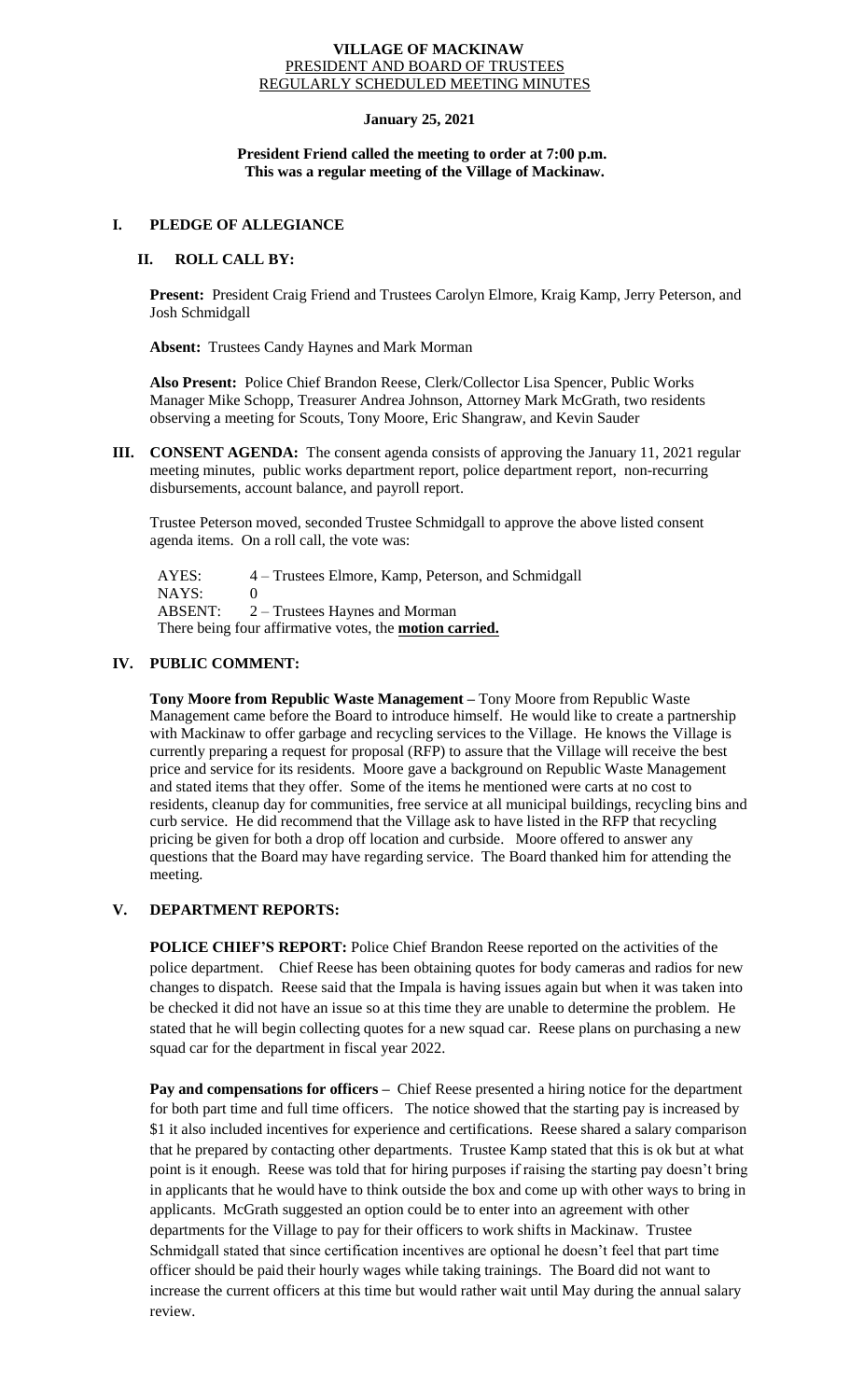### **VILLAGE OF MACKINAW** PRESIDENT AND BOARD OF TRUSTEES REGULARLY SCHEDULED MEETING MINUTES

## **January 25, 2021**

## **President Friend called the meeting to order at 7:00 p.m. This was a regular meeting of the Village of Mackinaw.**

## **I. PLEDGE OF ALLEGIANCE**

## **II. ROLL CALL BY:**

**Present:** President Craig Friend and Trustees Carolyn Elmore, Kraig Kamp, Jerry Peterson, and Josh Schmidgall

**Absent:** Trustees Candy Haynes and Mark Morman

**Also Present:** Police Chief Brandon Reese, Clerk/Collector Lisa Spencer, Public Works Manager Mike Schopp, Treasurer Andrea Johnson, Attorney Mark McGrath, two residents observing a meeting for Scouts, Tony Moore, Eric Shangraw, and Kevin Sauder

**III. CONSENT AGENDA:** The consent agenda consists of approving the January 11, 2021 regular meeting minutes, public works department report, police department report, non-recurring disbursements, account balance, and payroll report.

Trustee Peterson moved, seconded Trustee Schmidgall to approve the above listed consent agenda items. On a roll call, the vote was:

 AYES: 4 – Trustees Elmore, Kamp, Peterson, and Schmidgall NAYS: 0 ABSENT: 2 – Trustees Haynes and Morman There being four affirmative votes, the **motion carried.**

# **IV. PUBLIC COMMENT:**

**Tony Moore from Republic Waste Management –** Tony Moore from Republic Waste Management came before the Board to introduce himself. He would like to create a partnership with Mackinaw to offer garbage and recycling services to the Village. He knows the Village is currently preparing a request for proposal (RFP) to assure that the Village will receive the best price and service for its residents. Moore gave a background on Republic Waste Management and stated items that they offer. Some of the items he mentioned were carts at no cost to residents, cleanup day for communities, free service at all municipal buildings, recycling bins and curb service. He did recommend that the Village ask to have listed in the RFP that recycling pricing be given for both a drop off location and curbside. Moore offered to answer any questions that the Board may have regarding service. The Board thanked him for attending the meeting.

# **V. DEPARTMENT REPORTS:**

**POLICE CHIEF'S REPORT:** Police Chief Brandon Reese reported on the activities of the police department. Chief Reese has been obtaining quotes for body cameras and radios for new changes to dispatch. Reese said that the Impala is having issues again but when it was taken into be checked it did not have an issue so at this time they are unable to determine the problem. He stated that he will begin collecting quotes for a new squad car. Reese plans on purchasing a new squad car for the department in fiscal year 2022.

Pay and compensations for officers - Chief Reese presented a hiring notice for the department for both part time and full time officers. The notice showed that the starting pay is increased by \$1 it also included incentives for experience and certifications. Reese shared a salary comparison that he prepared by contacting other departments. Trustee Kamp stated that this is ok but at what point is it enough. Reese was told that for hiring purposes if raising the starting pay doesn't bring in applicants that he would have to think outside the box and come up with other ways to bring in applicants. McGrath suggested an option could be to enter into an agreement with other departments for the Village to pay for their officers to work shifts in Mackinaw. Trustee Schmidgall stated that since certification incentives are optional he doesn't feel that part time officer should be paid their hourly wages while taking trainings. The Board did not want to increase the current officers at this time but would rather wait until May during the annual salary review.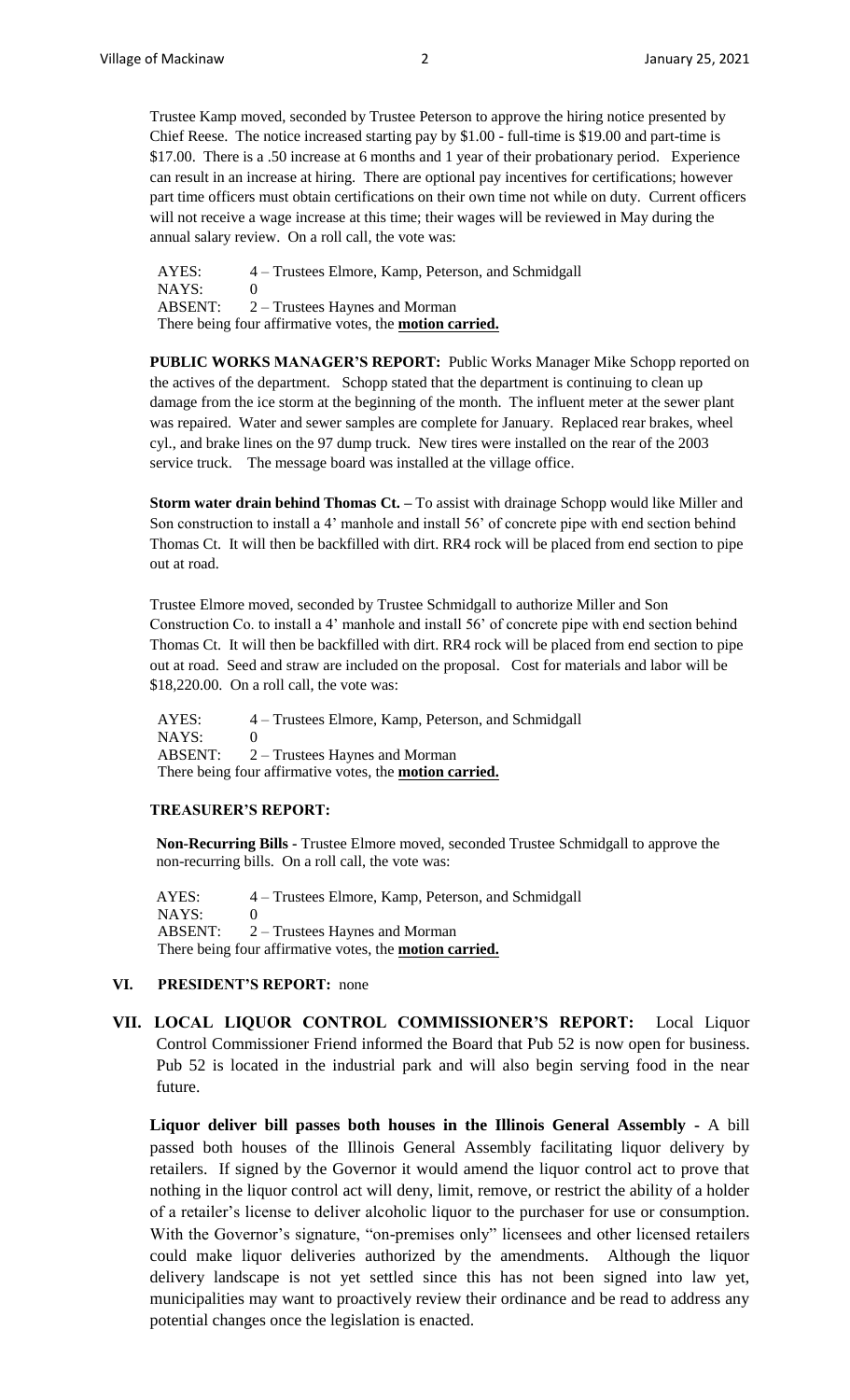Trustee Kamp moved, seconded by Trustee Peterson to approve the hiring notice presented by Chief Reese. The notice increased starting pay by \$1.00 - full-time is \$19.00 and part-time is \$17.00. There is a .50 increase at 6 months and 1 year of their probationary period. Experience can result in an increase at hiring. There are optional pay incentives for certifications; however part time officers must obtain certifications on their own time not while on duty. Current officers will not receive a wage increase at this time; their wages will be reviewed in May during the annual salary review. On a roll call, the vote was:

 AYES: 4 – Trustees Elmore, Kamp, Peterson, and Schmidgall NAYS: 0 ABSENT: 2 – Trustees Haynes and Morman There being four affirmative votes, the **motion carried.**

**PUBLIC WORKS MANAGER'S REPORT:** Public Works Manager Mike Schopp reported on the actives of the department. Schopp stated that the department is continuing to clean up damage from the ice storm at the beginning of the month. The influent meter at the sewer plant was repaired. Water and sewer samples are complete for January. Replaced rear brakes, wheel cyl., and brake lines on the 97 dump truck. New tires were installed on the rear of the 2003 service truck. The message board was installed at the village office.

**Storm water drain behind Thomas Ct. –** To assist with drainage Schopp would like Miller and Son construction to install a 4' manhole and install 56' of concrete pipe with end section behind Thomas Ct. It will then be backfilled with dirt. RR4 rock will be placed from end section to pipe out at road.

Trustee Elmore moved, seconded by Trustee Schmidgall to authorize Miller and Son Construction Co. to install a 4' manhole and install 56' of concrete pipe with end section behind Thomas Ct. It will then be backfilled with dirt. RR4 rock will be placed from end section to pipe out at road. Seed and straw are included on the proposal. Cost for materials and labor will be \$18,220.00. On a roll call, the vote was:

 AYES: 4 – Trustees Elmore, Kamp, Peterson, and Schmidgall NAYS: 0 ABSENT: 2 – Trustees Haynes and Morman There being four affirmative votes, the **motion carried.**

### **TREASURER'S REPORT:**

**Non-Recurring Bills -** Trustee Elmore moved, seconded Trustee Schmidgall to approve the non-recurring bills. On a roll call, the vote was:

AYES: 4 – Trustees Elmore, Kamp, Peterson, and Schmidgall NAYS: 0 ABSENT: 2 – Trustees Haynes and Morman There being four affirmative votes, the **motion carried.**

## **VI. PRESIDENT'S REPORT:** none

**VII. LOCAL LIQUOR CONTROL COMMISSIONER'S REPORT:** Local Liquor Control Commissioner Friend informed the Board that Pub 52 is now open for business. Pub 52 is located in the industrial park and will also begin serving food in the near future.

**Liquor deliver bill passes both houses in the Illinois General Assembly -** A bill passed both houses of the Illinois General Assembly facilitating liquor delivery by retailers. If signed by the Governor it would amend the liquor control act to prove that nothing in the liquor control act will deny, limit, remove, or restrict the ability of a holder of a retailer's license to deliver alcoholic liquor to the purchaser for use or consumption. With the Governor's signature, "on-premises only" licensees and other licensed retailers could make liquor deliveries authorized by the amendments. Although the liquor delivery landscape is not yet settled since this has not been signed into law yet, municipalities may want to proactively review their ordinance and be read to address any potential changes once the legislation is enacted.